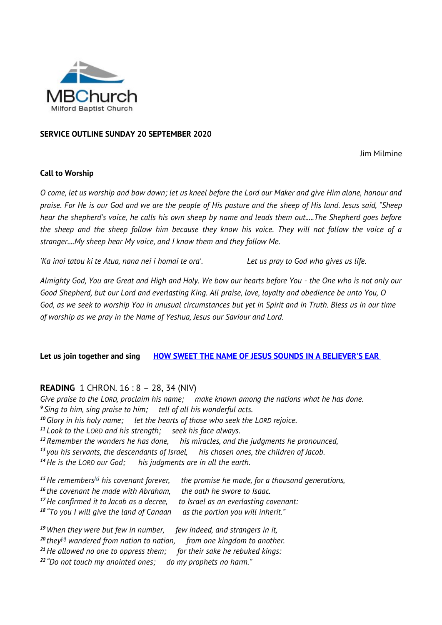

#### **SERVICE OUTLINE SUNDAY 20 SEPTEMBER 2020**

Jim Milmine

#### **Call to Worship**

*O come, let us worship and bow down; let us kneel before the Lord our Maker and give Him alone, honour and praise. For He is our God and we are the people of His pasture and the sheep of His land. Jesus said, "Sheep hear the shepherd's voice, he calls his own sheep by name and leads them out.....The Shepherd goes before the sheep and the sheep follow him because they know his voice. They will not follow the voice of a stranger....My sheep hear My voice, and I know them and they follow Me.*

*'Ka inoi tatou ki te Atua, nana nei i homai te ora'. Let us pray to God who gives us life.*

*Almighty God, You are Great and High and Holy. We bow our hearts before You - the One who is not only our Good Shepherd, but our Lord and everlasting King. All praise, love, loyalty and obedience be unto You, O God, as we seek to worship You in unusual circumstances but yet in Spirit and in Truth. Bless us in our time of worship as we pray in the Name of Yeshua, Jesus our Saviour and Lord.*

**Let us join together and sing [HOW SWEET THE NAME OF JESUS SOUNDS IN A BELIEVER'S EAR](http://www.viewpure.com/AFiYere5NYw?)**

### **READING** 1 CHRON. 16 : 8 – 28, 34 (NIV)

*Give praise to the LORD, proclaim his name; make known among the nations what he has done. Sing to him, sing praise to him; tell of all his wonderful acts. Glory in his holy name; let the hearts of those who seek the LORD rejoice. Look to the LORD and his strength; seek his face always. Remember the wonders he has done, his miracles, and the judgments he pronounced, you his servants, the descendants of Israel, his chosen ones, the children of Jacob. He is the LORD our God; his judgments are in all the earth.*

*He remembers[\[c\]](https://www.biblegateway.com/passage/?search=1+chron+16&version=NIV#fen-NIV-10836c) his covenant forever, the promise he made, for a thousand generations, the covenant he made with Abraham, the oath he swore to Isaac. He confirmed it to Jacob as a decree, to Israel as an everlasting covenant: "To you I will give the land of Canaan as the portion you will inherit."*

*When they were but few in number, few indeed, and strangers in it, they[\[d\]](https://www.biblegateway.com/passage/?search=1+chron+16&version=NIV#fen-NIV-10841d) wandered from nation to nation, from one kingdom to another. He allowed no one to oppress them; for their sake he rebuked kings: "Do not touch my anointed ones; do my prophets no harm."*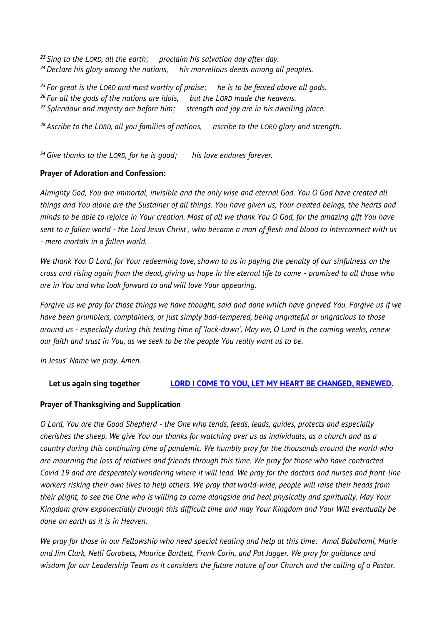*<sup>23</sup> Sing to the LORD, all the earth; proclaim his salvation day after day. <sup>24</sup>Declare his glory among the nations, his marvellous deeds among all peoples.*

*<sup>25</sup> For great is the LORD and most worthy of praise; he is to be feared above all gods. <sup>26</sup> For all the gods of the nations are idols, but the LORD made the heavens. <sup>27</sup> Splendour and majesty are before him; strength and joy are in his dwelling place.*

*<sup>28</sup> Ascribe to the LORD, all you families of nations, ascribe to the LORD glory and strength.*

*<sup>34</sup>Give thanks to the LORD, for he is good; his love endures forever.*

## **Prayer of Adoration and Confession:**

*Almighty God, You are immortal, invisible and the only wise and eternal God. You O God have created all things and You alone are the Sustainer of all things. You have given us, Your created beings, the hearts and minds to be able to rejoice in Your creation. Most of all we thank You O God, for the amazing gift You have sent to a fallen world - the Lord Jesus Christ , who became a man of flesh and blood to interconnect with us - mere mortals in a fallen world.*

*We thank You O Lord, for Your redeeming love, shown to us in paying the penalty of our sinfulness on the cross and rising again from the dead, giving us hope in the eternal life to come - promised to all those who are in You and who look forward to and will love Your appearing.*

*Forgive us we pray for those things we have thought, said and done which have grieved You. Forgive us if we have been grumblers, complainers, or just simply bad-tempered, being ungrateful or ungracious to those around us - especially during this testing time of 'lock-down'. May we, O Lord in the coming weeks, renew our faith and trust in You, as we seek to be the people You really want us to be.*

*In Jesus' Name we pray. Amen.*

# **Let us again sing together [LORD I COME TO YOU, LET MY HEART BE CHANGED, RENEWED.](http://www.viewpure.com/CL1POv2eY04?)**

# **Prayer of Thanksgiving and Supplication**

*O Lord, You are the Good Shepherd - the One who tends, feeds, leads, guides, protects and especially cherishes the sheep. We give You our thanks for watching over us as individuals, as a church and as a country during this continuing time of pandemic. We humbly pray for the thousands around the world who are mourning the loss of relatives and friends through this time. We pray for those who have contracted Covid 19 and are desperately wondering where it will lead. We pray for the doctors and nurses and front-line workers risking their own lives to help others. We pray that world-wide, people will raise their heads from their plight, to see the One who is willing to come alongside and heal physically and spiritually. May Your Kingdom grow exponentially through this difficult time and may Your Kingdom and Your Will eventually be done on earth as it is in Heaven.*

*We pray for those in our Fellowship who need special healing and help at this time: Amal Babahami, Marie and Jim Clark, Nelli Gorobets, Maurice Bartlett, Frank Corin, and Pat Jagger. We pray for guidance and wisdom for our Leadership Team as it considers the future nature of our Church and the calling of a Pastor.*